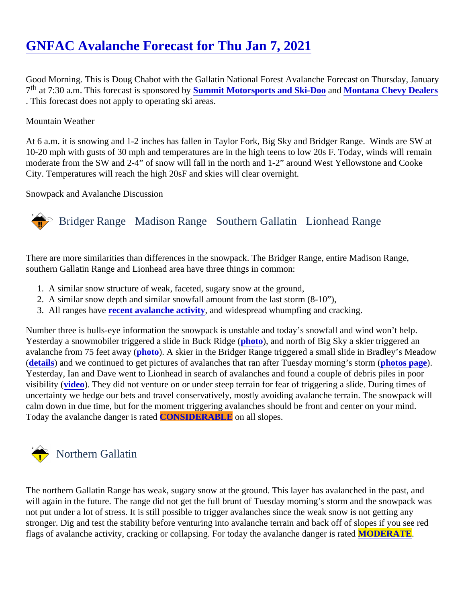# [GNFAC Avalanche Forecast for Thu Jan 7, 202](https://www.mtavalanche.com/forecast/21/01/07)1

Good Morning. This is Doug Chabot with the Gallatin National Forest Avalanche Forecast on Thursday, Janu 7<sup>th</sup> at 7:30 a.m. This forecast is sponsore **Sbynmit Motorsports and Ski-Doo and [Montana Chevy Dealers](http://www.montanachevydealers.com/)** . This forecast does not apply to operating ski areas.

#### Mountain Weather

At 6 a.m. it is snowing and 1-2 inches has fallen in Taylor Fork, Big Sky and Bridger Range. Winds are SW a 10-20 mph with gusts of 30 mph and temperatures are in the high teens to low 20s F. Today, winds will remain moderate from the SW and 2-4" of snow will fall in the north and 1-2" around West Yellowstone and Cooke City. Temperatures will reach the high 20sF and skies will clear overnight.

Snowpack and Avalanche Discussion

## Bridger Range Madison RangeSouthern Gallatin Lionhead Range

There are more similarities than differences in the snowpack. The Bridger Range, entire Madison Range, southern Gallatin Range and Lionhead area have three things in common:

- 1. A similar snow structure of weak, faceted, sugary snow at the ground,
- 2. A similar snow depth and similar snowfall amount from the last storm (8-10"),
- 3. All ranges have ecent avalanche activity and widespread whumpfing and cracking.

Number three is bulls-eye information the snowpack is unstable and today's snowfall and wind won't help. Yesterday a snowmobiler triggered a slide in Buck Ridgeto), and north of Big Sky a skier triggered an avalanche from 75 feet away (oto). A skier in the Bridger Range triggered a small slide in Bradley's Meadow [\(details](https://www.mtavalanche.com/node/23598)) and we continued to get pictures of avalanches that ran after Tuesday morning's storm (age). Yesterday, Ian and Dave went to Lionhead in search of avalanches and found a couple of debris piles in poor visibility ([video](https://youtu.be/xtZxJ5uNnoA)). They did not venture on or under steep terrain for fear of triggering a slide. During times of uncertainty we hedge our bets and travel conservatively, mostly avoiding avalanche terrain. The snowpack w calm down in due time, but for the moment triggering avalanches should be front and center on your mind. Today the avalanche danger is ra**CONSIDERABLE** on all slopes.

### Northern Gallatin

The northern Gallatin Range has weak, sugary snow at the ground. This layer has avalanched in the past, an will again in the future. The range did not get the full brunt of Tuesday morning's storm and the snowpack wa not put under a lot of stress. It is still possible to trigger avalanches since the weak snow is not getting any stronger. Dig and test the stability before venturing into avalanche terrain and back off of slopes if you see red flags of avalanche activity, cracking or collapsing. For today the avalanche danger **MODERATE**.